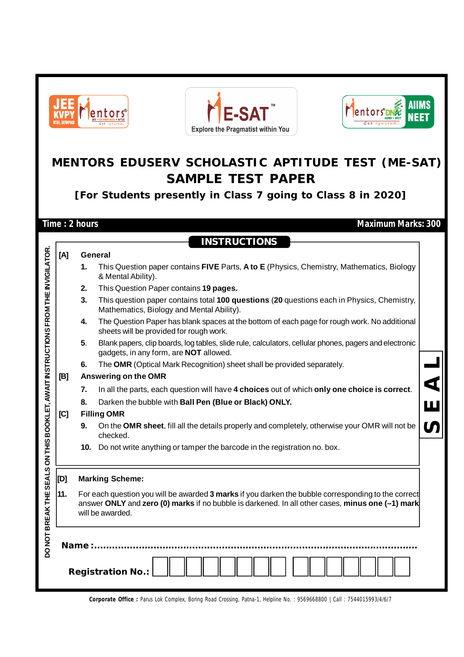

**Corporate Office :** Parus Lok Complex, Boring Road Crossing, Patna-1, Helpline No. : 9569668800 | Call : 7544015993/4/6/7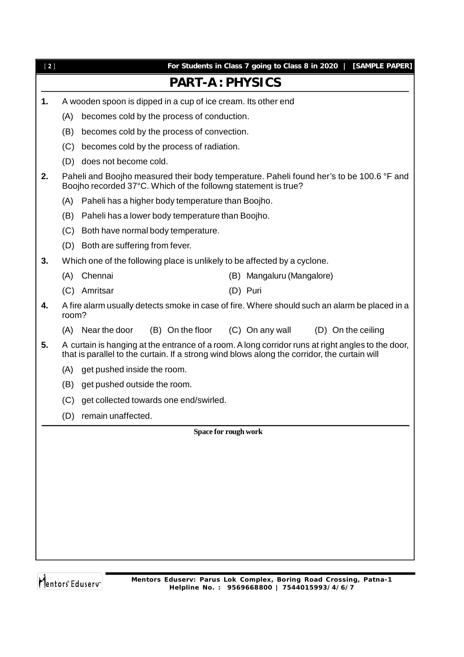| For Students in Class 7 going to Class 8 in 2020  <br>[SAMPLE PAPER]                                                                                                                              |  |
|---------------------------------------------------------------------------------------------------------------------------------------------------------------------------------------------------|--|
|                                                                                                                                                                                                   |  |
|                                                                                                                                                                                                   |  |
|                                                                                                                                                                                                   |  |
|                                                                                                                                                                                                   |  |
|                                                                                                                                                                                                   |  |
|                                                                                                                                                                                                   |  |
| Paheli and Boojho measured their body temperature. Paheli found her's to be 100.6 °F and                                                                                                          |  |
|                                                                                                                                                                                                   |  |
|                                                                                                                                                                                                   |  |
|                                                                                                                                                                                                   |  |
|                                                                                                                                                                                                   |  |
| Which one of the following place is unlikely to be affected by a cyclone.                                                                                                                         |  |
| (B) Mangaluru (Mangalore)                                                                                                                                                                         |  |
|                                                                                                                                                                                                   |  |
| A fire alarm usually detects smoke in case of fire. Where should such an alarm be placed in a                                                                                                     |  |
| (D) On the ceiling                                                                                                                                                                                |  |
| A curtain is hanging at the entrance of a room. A long corridor runs at right angles to the door,<br>that is parallel to the curtain. If a strong wind blows along the corridor, the curtain will |  |
|                                                                                                                                                                                                   |  |
|                                                                                                                                                                                                   |  |
|                                                                                                                                                                                                   |  |
|                                                                                                                                                                                                   |  |
|                                                                                                                                                                                                   |  |
|                                                                                                                                                                                                   |  |
|                                                                                                                                                                                                   |  |
|                                                                                                                                                                                                   |  |
|                                                                                                                                                                                                   |  |
|                                                                                                                                                                                                   |  |
|                                                                                                                                                                                                   |  |
|                                                                                                                                                                                                   |  |
|                                                                                                                                                                                                   |  |
|                                                                                                                                                                                                   |  |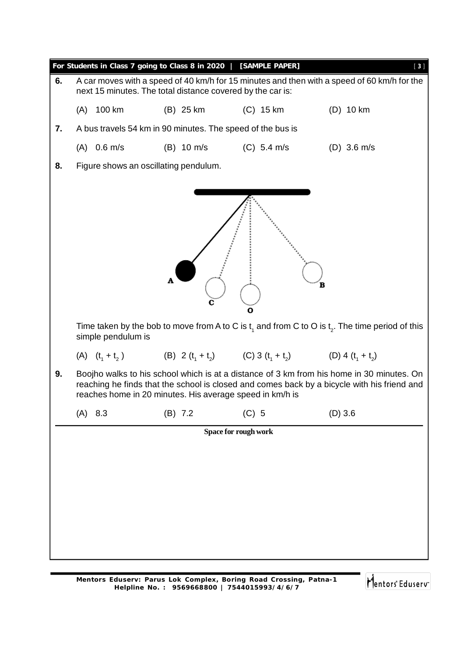|    | For Students in Class 7 going to Class 8 in 2020   [SAMPLE PAPER]<br>$[3]$                                                                                |                                       |                                                            |               |                                                                                                                                                                                          |  |  |  |
|----|-----------------------------------------------------------------------------------------------------------------------------------------------------------|---------------------------------------|------------------------------------------------------------|---------------|------------------------------------------------------------------------------------------------------------------------------------------------------------------------------------------|--|--|--|
| 6. | A car moves with a speed of 40 km/h for 15 minutes and then with a speed of 60 km/h for the<br>next 15 minutes. The total distance covered by the car is: |                                       |                                                            |               |                                                                                                                                                                                          |  |  |  |
|    | $(A)$ 100 km                                                                                                                                              |                                       | (B) 25 km                                                  | $(C)$ 15 km   | $(D)$ 10 km                                                                                                                                                                              |  |  |  |
| 7. |                                                                                                                                                           |                                       | A bus travels 54 km in 90 minutes. The speed of the bus is |               |                                                                                                                                                                                          |  |  |  |
|    | $(A)$ 0.6 m/s                                                                                                                                             |                                       | $(B)$ 10 m/s                                               | $(C)$ 5.4 m/s | $(D)$ 3.6 m/s                                                                                                                                                                            |  |  |  |
| 8. |                                                                                                                                                           | Figure shows an oscillating pendulum. |                                                            |               |                                                                                                                                                                                          |  |  |  |
|    | B<br>с<br>ο<br>Time taken by the bob to move from A to C is $t_1$ and from C to O is $t_2$ . The time period of this<br>simple pendulum is                |                                       |                                                            |               |                                                                                                                                                                                          |  |  |  |
|    |                                                                                                                                                           |                                       |                                                            |               | (A) $(t_1 + t_2)$ (B) 2 $(t_1 + t_2)$ (C) 3 $(t_1 + t_2)$ (D) 4 $(t_1 + t_2)$                                                                                                            |  |  |  |
| 9. |                                                                                                                                                           |                                       | reaches home in 20 minutes. His average speed in km/h is   |               | Boojho walks to his school which is at a distance of 3 km from his home in 30 minutes. On<br>reaching he finds that the school is closed and comes back by a bicycle with his friend and |  |  |  |
|    | 8.3<br>(A)                                                                                                                                                |                                       | $(B)$ 7.2                                                  | $(C)$ 5       | $(D)$ 3.6                                                                                                                                                                                |  |  |  |
|    |                                                                                                                                                           |                                       | Space for rough work                                       |               |                                                                                                                                                                                          |  |  |  |
|    |                                                                                                                                                           |                                       |                                                            |               |                                                                                                                                                                                          |  |  |  |
|    |                                                                                                                                                           |                                       |                                                            |               |                                                                                                                                                                                          |  |  |  |
|    |                                                                                                                                                           |                                       |                                                            |               |                                                                                                                                                                                          |  |  |  |
|    |                                                                                                                                                           |                                       |                                                            |               |                                                                                                                                                                                          |  |  |  |
|    |                                                                                                                                                           |                                       |                                                            |               |                                                                                                                                                                                          |  |  |  |
|    |                                                                                                                                                           |                                       |                                                            |               |                                                                                                                                                                                          |  |  |  |
|    |                                                                                                                                                           |                                       |                                                            |               |                                                                                                                                                                                          |  |  |  |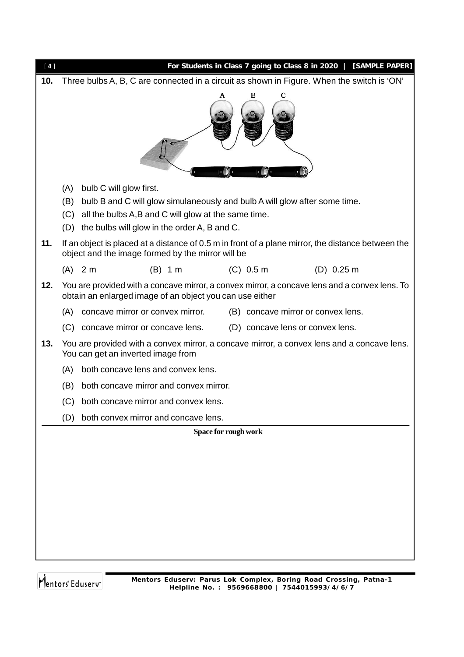| $[4]$ |                                                                                            |                                                                                                     |                      |  |                                    | For Students in Class 7 going to Class 8 in 2020   [SAMPLE PAPER]                                  |  |
|-------|--------------------------------------------------------------------------------------------|-----------------------------------------------------------------------------------------------------|----------------------|--|------------------------------------|----------------------------------------------------------------------------------------------------|--|
| 10.   | Three bulbs A, B, C are connected in a circuit as shown in Figure. When the switch is 'ON' |                                                                                                     |                      |  |                                    |                                                                                                    |  |
|       | в<br>с                                                                                     |                                                                                                     |                      |  |                                    |                                                                                                    |  |
|       | (A)                                                                                        | bulb C will glow first.                                                                             |                      |  |                                    |                                                                                                    |  |
|       | (B)                                                                                        | bulb B and C will glow simulaneously and bulb A will glow after some time.                          |                      |  |                                    |                                                                                                    |  |
|       | (C)<br>(D)                                                                                 | all the bulbs A,B and C will glow at the same time.<br>the bulbs will glow in the order A, B and C. |                      |  |                                    |                                                                                                    |  |
| 11.   |                                                                                            | object and the image formed by the mirror will be                                                   |                      |  |                                    | If an object is placed at a distance of 0.5 m in front of a plane mirror, the distance between the |  |
|       |                                                                                            | $(A)$ 2 m                                                                                           | $(B)$ 1 m            |  | $(C)$ 0.5 m                        | $(D)$ 0.25 m                                                                                       |  |
| 12.   |                                                                                            | obtain an enlarged image of an object you can use either                                            |                      |  |                                    | You are provided with a concave mirror, a convex mirror, a concave lens and a convex lens. To      |  |
|       | (A)                                                                                        | concave mirror or convex mirror.                                                                    |                      |  | (B) concave mirror or convex lens. |                                                                                                    |  |
|       | (C)                                                                                        | concave mirror or concave lens.                                                                     |                      |  | (D) concave lens or convex lens.   |                                                                                                    |  |
| 13.   |                                                                                            | You can get an inverted image from                                                                  |                      |  |                                    | You are provided with a convex mirror, a concave mirror, a convex lens and a concave lens.         |  |
|       | (A)                                                                                        | both concave lens and convex lens.                                                                  |                      |  |                                    |                                                                                                    |  |
|       | (B)                                                                                        | both concave mirror and convex mirror.                                                              |                      |  |                                    |                                                                                                    |  |
|       |                                                                                            | (C) both concave mirror and convex lens.                                                            |                      |  |                                    |                                                                                                    |  |
|       | (D)                                                                                        | both convex mirror and concave lens.                                                                |                      |  |                                    |                                                                                                    |  |
|       |                                                                                            |                                                                                                     | Space for rough work |  |                                    |                                                                                                    |  |
|       |                                                                                            |                                                                                                     |                      |  |                                    |                                                                                                    |  |
|       |                                                                                            |                                                                                                     |                      |  |                                    |                                                                                                    |  |
|       |                                                                                            |                                                                                                     |                      |  |                                    |                                                                                                    |  |
|       |                                                                                            |                                                                                                     |                      |  |                                    |                                                                                                    |  |
|       |                                                                                            |                                                                                                     |                      |  |                                    |                                                                                                    |  |
|       |                                                                                            |                                                                                                     |                      |  |                                    |                                                                                                    |  |
|       |                                                                                            |                                                                                                     |                      |  |                                    |                                                                                                    |  |
|       |                                                                                            |                                                                                                     |                      |  |                                    |                                                                                                    |  |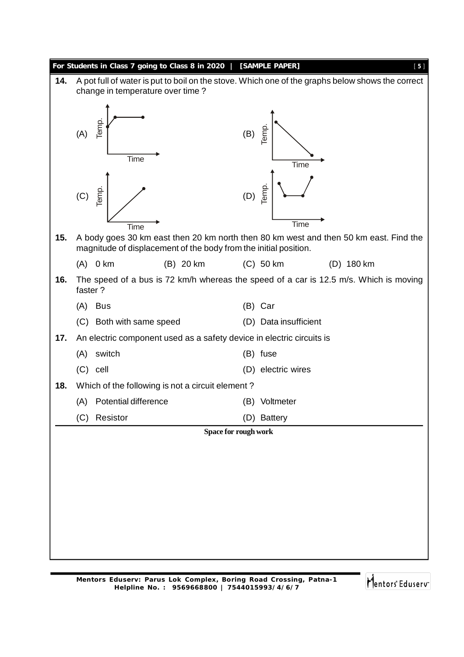|     | For Students in Class 7 going to Class 8 in 2020                      | [SAMPLE PAPER]<br>[5]                                                                            |
|-----|-----------------------------------------------------------------------|--------------------------------------------------------------------------------------------------|
| 14. | change in temperature over time?                                      | A pot full of water is put to boil on the stove. Which one of the graphs below shows the correct |
|     | Temp.<br>(A)<br><b>Time</b>                                           | Temp.<br>(B)<br>Time                                                                             |
|     | emp.<br>(C)<br>Time                                                   | Temp.<br>(D)<br>Time                                                                             |
| 15. | magnitude of displacement of the body from the initial position.      | A body goes 30 km east then 20 km north then 80 km west and then 50 km east. Find the            |
|     | $0 \text{ km}$<br>(B) 20 km<br>(A)                                    | $(C)$ 50 km<br>$(D)$ 180 km                                                                      |
| 16. | faster?                                                               | The speed of a bus is 72 km/h whereas the speed of a car is 12.5 m/s. Which is moving            |
|     | <b>Bus</b><br>(A)                                                     | (B) Car                                                                                          |
|     | Both with same speed<br>(C)                                           | (D) Data insufficient                                                                            |
| 17. | An electric component used as a safety device in electric circuits is |                                                                                                  |
|     | switch<br>(A)                                                         | (B) fuse                                                                                         |
|     | $(C)$ cell                                                            | (D) electric wires                                                                               |
| 18. | Which of the following is not a circuit element?                      |                                                                                                  |
|     | (A) Potential difference                                              | (B)<br>Voltmeter                                                                                 |
|     | Resistor<br>(C)                                                       | (D) Battery                                                                                      |
|     |                                                                       | Space for rough work                                                                             |
|     |                                                                       |                                                                                                  |
|     |                                                                       |                                                                                                  |
|     |                                                                       |                                                                                                  |
|     |                                                                       |                                                                                                  |
|     |                                                                       |                                                                                                  |
|     |                                                                       |                                                                                                  |
|     |                                                                       |                                                                                                  |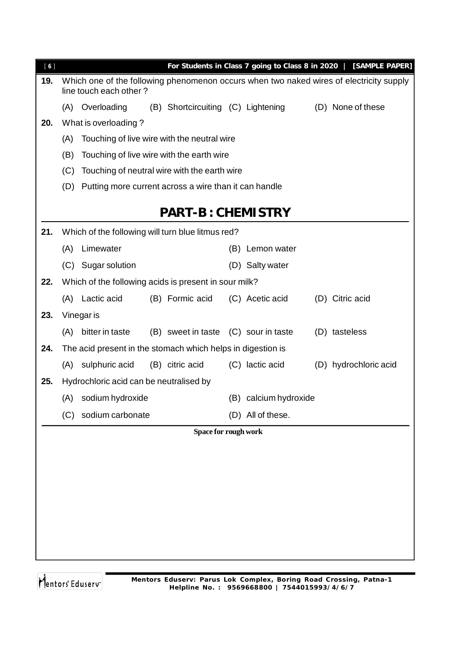| [6] |     |                                                             |                                      |                       | For Students in Class 7 going to Class 8 in 2020   [SAMPLE PAPER]                       |
|-----|-----|-------------------------------------------------------------|--------------------------------------|-----------------------|-----------------------------------------------------------------------------------------|
| 19. |     | line touch each other?                                      |                                      |                       | Which one of the following phenomenon occurs when two naked wires of electricity supply |
|     |     | (A) Overloading                                             | (B) Shortcircuiting (C) Lightening   |                       | (D) None of these                                                                       |
| 20. |     | What is overloading?                                        |                                      |                       |                                                                                         |
|     | (A) | Touching of live wire with the neutral wire                 |                                      |                       |                                                                                         |
|     | (B) | Touching of live wire with the earth wire                   |                                      |                       |                                                                                         |
|     | (C) | Touching of neutral wire with the earth wire                |                                      |                       |                                                                                         |
|     | (D) | Putting more current across a wire than it can handle       |                                      |                       |                                                                                         |
|     |     |                                                             |                                      |                       |                                                                                         |
|     |     |                                                             | <b>PART-B: CHEMISTRY</b>             |                       |                                                                                         |
| 21. |     | Which of the following will turn blue litmus red?           |                                      |                       |                                                                                         |
|     | (A) | Limewater                                                   |                                      | (B) Lemon water       |                                                                                         |
|     |     | (C) Sugar solution                                          |                                      | (D) Salty water       |                                                                                         |
| 22. |     | Which of the following acids is present in sour milk?       |                                      |                       |                                                                                         |
|     |     | (A) Lactic acid                                             | (B) Formic acid                      | (C) Acetic acid       | (D) Citric acid                                                                         |
| 23. |     | Vinegar is                                                  |                                      |                       |                                                                                         |
|     | (A) | bitter in taste                                             | (B) sweet in taste (C) sour in taste |                       | (D) tasteless                                                                           |
| 24. |     | The acid present in the stomach which helps in digestion is |                                      |                       |                                                                                         |
|     |     | (A) sulphuric acid                                          | (B) citric acid                      | (C) lactic acid       | (D) hydrochloric acid                                                                   |
| 25. |     | Hydrochloric acid can be neutralised by                     |                                      |                       |                                                                                         |
|     |     | (A) sodium hydroxide                                        |                                      | (B) calcium hydroxide |                                                                                         |
|     | (C) | sodium carbonate                                            |                                      | (D) All of these.     |                                                                                         |
|     |     |                                                             | Space for rough work                 |                       |                                                                                         |
|     |     |                                                             |                                      |                       |                                                                                         |
|     |     |                                                             |                                      |                       |                                                                                         |
|     |     |                                                             |                                      |                       |                                                                                         |
|     |     |                                                             |                                      |                       |                                                                                         |
|     |     |                                                             |                                      |                       |                                                                                         |
|     |     |                                                             |                                      |                       |                                                                                         |
|     |     |                                                             |                                      |                       |                                                                                         |
|     |     |                                                             |                                      |                       |                                                                                         |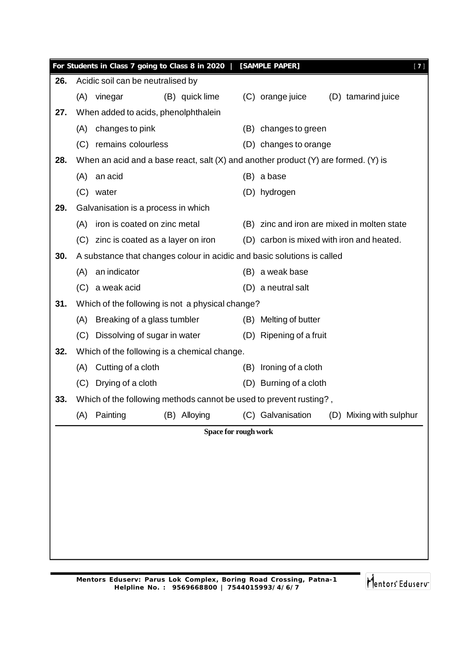|     |     | For Students in Class 7 going to Class 8 in 2020                                   |                      | [SAMPLE PAPER]          | $[7]$                                       |  |
|-----|-----|------------------------------------------------------------------------------------|----------------------|-------------------------|---------------------------------------------|--|
| 26. |     | Acidic soil can be neutralised by                                                  |                      |                         |                                             |  |
|     | (A) | vinegar<br>(B) quick lime                                                          |                      | (C) orange juice        | (D) tamarind juice                          |  |
| 27. |     | When added to acids, phenolphthalein                                               |                      |                         |                                             |  |
|     | (A) | changes to pink                                                                    |                      | (B) changes to green    |                                             |  |
|     |     | (C) remains colourless                                                             |                      | (D) changes to orange   |                                             |  |
| 28. |     | When an acid and a base react, salt (X) and another product (Y) are formed. (Y) is |                      |                         |                                             |  |
|     | (A) | an acid                                                                            |                      | (B) a base              |                                             |  |
|     |     | (C) water                                                                          |                      | (D) hydrogen            |                                             |  |
| 29. |     | Galvanisation is a process in which                                                |                      |                         |                                             |  |
|     | (A) | iron is coated on zinc metal                                                       |                      |                         | (B) zinc and iron are mixed in molten state |  |
|     |     | (C) zinc is coated as a layer on iron                                              |                      |                         | (D) carbon is mixed with iron and heated.   |  |
| 30. |     | A substance that changes colour in acidic and basic solutions is called            |                      |                         |                                             |  |
|     | (A) | an indicator                                                                       |                      | (B) a weak base         |                                             |  |
|     |     | (C) a weak acid                                                                    |                      | (D) a neutral salt      |                                             |  |
| 31. |     | Which of the following is not a physical change?                                   |                      |                         |                                             |  |
|     | (A) | Breaking of a glass tumbler                                                        |                      | (B) Melting of butter   |                                             |  |
|     |     | (C) Dissolving of sugar in water                                                   |                      | (D) Ripening of a fruit |                                             |  |
| 32. |     | Which of the following is a chemical change.                                       |                      |                         |                                             |  |
|     | (A) | Cutting of a cloth                                                                 | (B)                  | Ironing of a cloth      |                                             |  |
|     |     | (C) Drying of a cloth                                                              |                      | (D) Burning of a cloth  |                                             |  |
| 33. |     | Which of the following methods cannot be used to prevent rusting?,                 |                      |                         |                                             |  |
|     | (A) | Painting<br>(B) Alloying                                                           |                      | (C) Galvanisation       | (D) Mixing with sulphur                     |  |
|     |     |                                                                                    | Space for rough work |                         |                                             |  |
|     |     |                                                                                    |                      |                         |                                             |  |
|     |     |                                                                                    |                      |                         |                                             |  |
|     |     |                                                                                    |                      |                         |                                             |  |
|     |     |                                                                                    |                      |                         |                                             |  |
|     |     |                                                                                    |                      |                         |                                             |  |
|     |     |                                                                                    |                      |                         |                                             |  |
|     |     |                                                                                    |                      |                         |                                             |  |
|     |     |                                                                                    |                      |                         |                                             |  |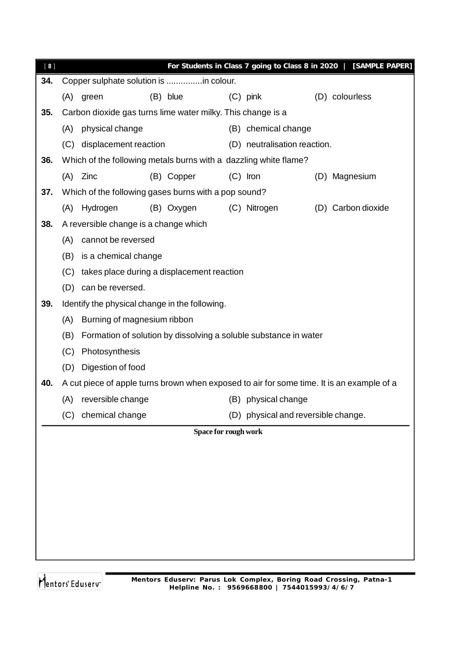| [8] |     |                                                                                           |                      |                                                                  | For Students in Class 7 going to Class 8 in 2020   [SAMPLE PAPER] |
|-----|-----|-------------------------------------------------------------------------------------------|----------------------|------------------------------------------------------------------|-------------------------------------------------------------------|
| 34. |     | Copper sulphate solution is in colour.                                                    |                      |                                                                  |                                                                   |
|     | (A) | green                                                                                     | (B) blue             | $(C)$ pink                                                       | (D) colourless                                                    |
| 35. |     | Carbon dioxide gas turns lime water milky. This change is a                               |                      |                                                                  |                                                                   |
|     | (A) | physical change                                                                           |                      | (B) chemical change                                              |                                                                   |
|     |     | (C) displacement reaction                                                                 |                      | (D) neutralisation reaction.                                     |                                                                   |
| 36. |     | Which of the following metals burns with a dazzling white flame?                          |                      |                                                                  |                                                                   |
|     | (A) | Zinc                                                                                      | (B) Copper           | $(C)$ Iron                                                       | (D) Magnesium                                                     |
| 37. |     | Which of the following gases burns with a pop sound?                                      |                      |                                                                  |                                                                   |
|     | (A) | Hydrogen                                                                                  | (B) Oxygen           | (C) Nitrogen                                                     | (D) Carbon dioxide                                                |
| 38. |     | A reversible change is a change which                                                     |                      |                                                                  |                                                                   |
|     | (A) | cannot be reversed                                                                        |                      |                                                                  |                                                                   |
|     | (B) | is a chemical change                                                                      |                      |                                                                  |                                                                   |
|     |     | (C) takes place during a displacement reaction                                            |                      |                                                                  |                                                                   |
|     |     | (D) can be reversed.                                                                      |                      |                                                                  |                                                                   |
| 39. |     | Identify the physical change in the following.                                            |                      |                                                                  |                                                                   |
|     | (A) | Burning of magnesium ribbon                                                               |                      |                                                                  |                                                                   |
|     | (B) |                                                                                           |                      | Formation of solution by dissolving a soluble substance in water |                                                                   |
|     | (C) | Photosynthesis                                                                            |                      |                                                                  |                                                                   |
|     | (D) | Digestion of food                                                                         |                      |                                                                  |                                                                   |
| 40. |     | A cut piece of apple turns brown when exposed to air for some time. It is an example of a |                      |                                                                  |                                                                   |
|     | (A) | reversible change                                                                         |                      | (B) physical change                                              |                                                                   |
|     | (C) | chemical change                                                                           |                      | (D) physical and reversible change.                              |                                                                   |
|     |     |                                                                                           | Space for rough work |                                                                  |                                                                   |
|     |     |                                                                                           |                      |                                                                  |                                                                   |
|     |     |                                                                                           |                      |                                                                  |                                                                   |
|     |     |                                                                                           |                      |                                                                  |                                                                   |
|     |     |                                                                                           |                      |                                                                  |                                                                   |
|     |     |                                                                                           |                      |                                                                  |                                                                   |
|     |     |                                                                                           |                      |                                                                  |                                                                   |
|     |     |                                                                                           |                      |                                                                  |                                                                   |
|     |     |                                                                                           |                      |                                                                  |                                                                   |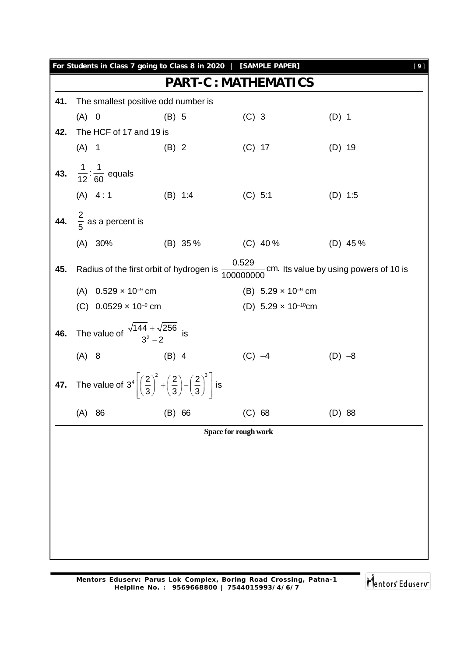|     |    |                                                                                                                                                                     |                                                                                                                                                                                                                                                                                                   |                                                                                                                                                                                                                                                      | [9]                                                                                                                                 |
|-----|----|---------------------------------------------------------------------------------------------------------------------------------------------------------------------|---------------------------------------------------------------------------------------------------------------------------------------------------------------------------------------------------------------------------------------------------------------------------------------------------|------------------------------------------------------------------------------------------------------------------------------------------------------------------------------------------------------------------------------------------------------|-------------------------------------------------------------------------------------------------------------------------------------|
|     |    |                                                                                                                                                                     |                                                                                                                                                                                                                                                                                                   |                                                                                                                                                                                                                                                      |                                                                                                                                     |
|     |    |                                                                                                                                                                     |                                                                                                                                                                                                                                                                                                   |                                                                                                                                                                                                                                                      |                                                                                                                                     |
|     |    | $(B)$ 5                                                                                                                                                             |                                                                                                                                                                                                                                                                                                   | $(D)$ 1                                                                                                                                                                                                                                              |                                                                                                                                     |
|     |    |                                                                                                                                                                     |                                                                                                                                                                                                                                                                                                   |                                                                                                                                                                                                                                                      |                                                                                                                                     |
|     |    | $(B)$ 2                                                                                                                                                             |                                                                                                                                                                                                                                                                                                   | $(D)$ 19                                                                                                                                                                                                                                             |                                                                                                                                     |
|     |    |                                                                                                                                                                     |                                                                                                                                                                                                                                                                                                   |                                                                                                                                                                                                                                                      |                                                                                                                                     |
|     |    |                                                                                                                                                                     |                                                                                                                                                                                                                                                                                                   | $(D)$ 1:5                                                                                                                                                                                                                                            |                                                                                                                                     |
|     |    |                                                                                                                                                                     |                                                                                                                                                                                                                                                                                                   |                                                                                                                                                                                                                                                      |                                                                                                                                     |
|     |    |                                                                                                                                                                     |                                                                                                                                                                                                                                                                                                   | $(D)$ 45%                                                                                                                                                                                                                                            |                                                                                                                                     |
|     |    |                                                                                                                                                                     |                                                                                                                                                                                                                                                                                                   |                                                                                                                                                                                                                                                      |                                                                                                                                     |
|     |    |                                                                                                                                                                     |                                                                                                                                                                                                                                                                                                   |                                                                                                                                                                                                                                                      |                                                                                                                                     |
|     |    |                                                                                                                                                                     |                                                                                                                                                                                                                                                                                                   |                                                                                                                                                                                                                                                      |                                                                                                                                     |
|     |    |                                                                                                                                                                     |                                                                                                                                                                                                                                                                                                   |                                                                                                                                                                                                                                                      |                                                                                                                                     |
|     |    | $(B)$ 4                                                                                                                                                             |                                                                                                                                                                                                                                                                                                   | $(D) -8$                                                                                                                                                                                                                                             |                                                                                                                                     |
|     |    |                                                                                                                                                                     |                                                                                                                                                                                                                                                                                                   |                                                                                                                                                                                                                                                      |                                                                                                                                     |
| (A) | 86 | $(B)$ 66                                                                                                                                                            |                                                                                                                                                                                                                                                                                                   | $(D)$ 88                                                                                                                                                                                                                                             |                                                                                                                                     |
|     |    |                                                                                                                                                                     |                                                                                                                                                                                                                                                                                                   |                                                                                                                                                                                                                                                      |                                                                                                                                     |
|     |    |                                                                                                                                                                     |                                                                                                                                                                                                                                                                                                   |                                                                                                                                                                                                                                                      |                                                                                                                                     |
|     |    |                                                                                                                                                                     |                                                                                                                                                                                                                                                                                                   |                                                                                                                                                                                                                                                      |                                                                                                                                     |
|     |    |                                                                                                                                                                     |                                                                                                                                                                                                                                                                                                   |                                                                                                                                                                                                                                                      |                                                                                                                                     |
|     |    |                                                                                                                                                                     |                                                                                                                                                                                                                                                                                                   |                                                                                                                                                                                                                                                      |                                                                                                                                     |
|     |    |                                                                                                                                                                     |                                                                                                                                                                                                                                                                                                   |                                                                                                                                                                                                                                                      |                                                                                                                                     |
|     |    |                                                                                                                                                                     |                                                                                                                                                                                                                                                                                                   |                                                                                                                                                                                                                                                      |                                                                                                                                     |
|     |    |                                                                                                                                                                     |                                                                                                                                                                                                                                                                                                   |                                                                                                                                                                                                                                                      |                                                                                                                                     |
|     |    | $(A)$ 0<br>$(A)$ 1<br>43. $\frac{1}{12}:\frac{1}{60}$ equals<br>(A) 4:1<br>44. $\frac{2}{5}$ as a percent is<br>(A) 30%<br>(A) $0.529 \times 10^{-9}$ cm<br>$(A)$ 8 | The smallest positive odd number is<br>The HCF of 17 and 19 is<br>(B) 1:4<br>(C) $0.0529 \times 10^{-9}$ cm<br>The value of $\frac{\sqrt{144} + \sqrt{256}}{3^2 - 2}$ is<br>The value of $3^4 \left[\left(\frac{2}{3}\right)^2 + \left(\frac{2}{3}\right) - \left(\frac{2}{3}\right)^3\right]$ is | For Students in Class 7 going to Class 8 in 2020   [SAMPLE PAPER]<br><b>PART-C: MATHEMATICS</b><br>$(C)$ 3<br>$(C)$ 17<br>$(C)$ 5:1<br>(B) $5.29 \times 10^{-9}$ cm<br>(D) $5.29 \times 10^{-10}$ cm<br>$(C) -4$<br>$(C)$ 68<br>Space for rough work | (B) $35\%$ (C) $40\%$<br>Radius of the first orbit of hydrogen is $\frac{0.529}{1000000000}$ cm. Its value by using powers of 10 is |

**Mentors Eduserv: Parus Lok Complex, Boring Road Crossing, Patna-1 Helpline No. : 9569668800 | 7544015993/4/6/7**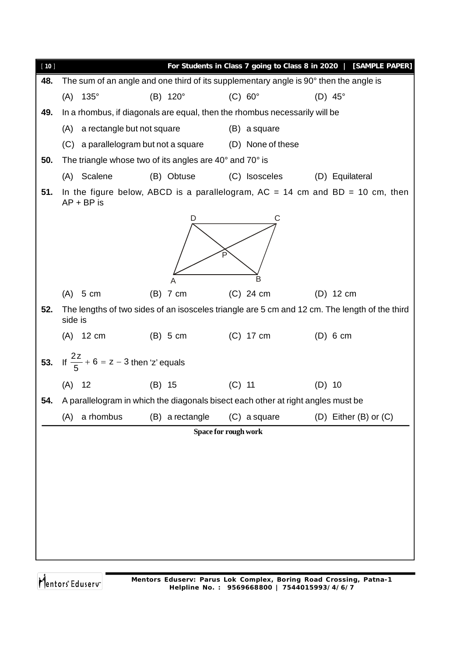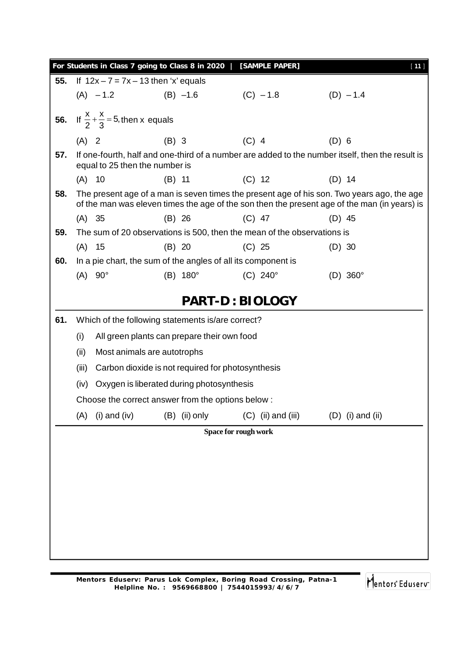|     |          |                                                               | For Students in Class 7 going to Class 8 in 2020  | [SAMPLE PAPER]                                                          | $[11]$                                                                                                                                                                                     |
|-----|----------|---------------------------------------------------------------|---------------------------------------------------|-------------------------------------------------------------------------|--------------------------------------------------------------------------------------------------------------------------------------------------------------------------------------------|
| 55. |          |                                                               | If $12x - 7 = 7x - 13$ then 'x' equals            |                                                                         |                                                                                                                                                                                            |
|     |          | $(A) -1.2$ (B) $-1.6$                                         |                                                   | $(C) - 1.8$                                                             | $(D) - 1.4$                                                                                                                                                                                |
|     |          | <b>56.</b> If $\frac{x}{2} + \frac{x}{3} = 5$ , then x equals |                                                   |                                                                         |                                                                                                                                                                                            |
|     | $(A)$ 2  |                                                               | $(B)$ 3                                           | $(C)$ 4                                                                 | $(D)$ 6                                                                                                                                                                                    |
| 57. |          | equal to 25 then the number is                                |                                                   |                                                                         | If one-fourth, half and one-third of a number are added to the number itself, then the result is                                                                                           |
|     | $(A)$ 10 |                                                               | $(B)$ 11                                          | $(C)$ 12                                                                | $(D)$ 14                                                                                                                                                                                   |
| 58. |          |                                                               |                                                   |                                                                         | The present age of a man is seven times the present age of his son. Two years ago, the age<br>of the man was eleven times the age of the son then the present age of the man (in years) is |
|     | (A) 35   |                                                               | $(B)$ 26                                          | $(C)$ 47                                                                | $(D)$ 45                                                                                                                                                                                   |
| 59. |          |                                                               |                                                   | The sum of 20 observations is 500, then the mean of the observations is |                                                                                                                                                                                            |
|     | $(A)$ 15 |                                                               | (B) 20                                            | $(C)$ 25                                                                | $(D)$ 30                                                                                                                                                                                   |
| 60. |          |                                                               |                                                   | In a pie chart, the sum of the angles of all its component is           |                                                                                                                                                                                            |
|     |          | $(A)$ 90°                                                     | $(B) 180^\circ$                                   | $(C) 240^\circ$                                                         | $(D)$ 360 $^{\circ}$                                                                                                                                                                       |
|     |          |                                                               |                                                   | <b>PART-D: BIOLOGY</b>                                                  |                                                                                                                                                                                            |
| 61. |          |                                                               | Which of the following statements is/are correct? |                                                                         |                                                                                                                                                                                            |
|     | (i)      |                                                               | All green plants can prepare their own food       |                                                                         |                                                                                                                                                                                            |
|     | (ii)     |                                                               | Most animals are autotrophs                       |                                                                         |                                                                                                                                                                                            |
|     | (iii)    |                                                               | Carbon dioxide is not required for photosynthesis |                                                                         |                                                                                                                                                                                            |
|     | (iv)     |                                                               | Oxygen is liberated during photosynthesis         |                                                                         |                                                                                                                                                                                            |
|     |          |                                                               | Choose the correct answer from the options below: |                                                                         |                                                                                                                                                                                            |
|     | (A)      | $(i)$ and $(iv)$                                              | $(B)$ (ii) only                                   | $(C)$ (ii) and (iii)                                                    | $(D)$ (i) and (ii)                                                                                                                                                                         |
|     |          |                                                               |                                                   | Space for rough work                                                    |                                                                                                                                                                                            |
|     |          |                                                               |                                                   |                                                                         |                                                                                                                                                                                            |
|     |          |                                                               |                                                   |                                                                         |                                                                                                                                                                                            |
|     |          |                                                               |                                                   |                                                                         |                                                                                                                                                                                            |
|     |          |                                                               |                                                   |                                                                         |                                                                                                                                                                                            |
|     |          |                                                               |                                                   |                                                                         |                                                                                                                                                                                            |
|     |          |                                                               |                                                   |                                                                         |                                                                                                                                                                                            |
|     |          |                                                               |                                                   |                                                                         |                                                                                                                                                                                            |
|     |          |                                                               |                                                   |                                                                         |                                                                                                                                                                                            |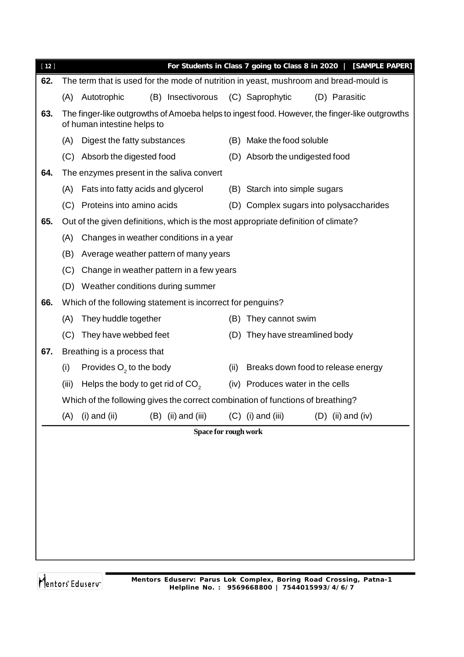| $[12]$ |       |                                                                                    |                      | For Students in Class 7 going to Class 8 in 2020   [SAMPLE PAPER]                              |  |  |
|--------|-------|------------------------------------------------------------------------------------|----------------------|------------------------------------------------------------------------------------------------|--|--|
| 62.    |       |                                                                                    |                      | The term that is used for the mode of nutrition in yeast, mushroom and bread-mould is          |  |  |
|        | (A)   | (B) Insectivorous<br>Autotrophic                                                   |                      | (C) Saprophytic<br>(D) Parasitic                                                               |  |  |
| 63.    |       | of human intestine helps to                                                        |                      | The finger-like outgrowths of Amoeba helps to ingest food. However, the finger-like outgrowths |  |  |
|        | (A)   | Digest the fatty substances                                                        |                      | (B) Make the food soluble                                                                      |  |  |
|        | (C)   | Absorb the digested food                                                           |                      | (D) Absorb the undigested food                                                                 |  |  |
| 64.    |       | The enzymes present in the saliva convert                                          |                      |                                                                                                |  |  |
|        | (A)   | Fats into fatty acids and glycerol                                                 |                      | (B) Starch into simple sugars                                                                  |  |  |
|        | (C)   | Proteins into amino acids                                                          |                      | (D) Complex sugars into polysaccharides                                                        |  |  |
| 65.    |       | Out of the given definitions, which is the most appropriate definition of climate? |                      |                                                                                                |  |  |
|        | (A)   | Changes in weather conditions in a year                                            |                      |                                                                                                |  |  |
|        | (B)   | Average weather pattern of many years                                              |                      |                                                                                                |  |  |
|        | (C)   | Change in weather pattern in a few years                                           |                      |                                                                                                |  |  |
|        | (D)   | Weather conditions during summer                                                   |                      |                                                                                                |  |  |
| 66.    |       | Which of the following statement is incorrect for penguins?                        |                      |                                                                                                |  |  |
|        | (A)   | They huddle together                                                               | (B)                  | They cannot swim                                                                               |  |  |
|        | (C)   | They have webbed feet                                                              |                      | (D) They have streamlined body                                                                 |  |  |
| 67.    |       | Breathing is a process that                                                        |                      |                                                                                                |  |  |
|        | (i)   | Provides $O2$ to the body                                                          | (ii)                 | Breaks down food to release energy                                                             |  |  |
|        | (iii) | Helps the body to get rid of CO <sub>2</sub>                                       |                      | (iv) Produces water in the cells                                                               |  |  |
|        |       | Which of the following gives the correct combination of functions of breathing?    |                      |                                                                                                |  |  |
|        | (A)   | $(i)$ and $(ii)$<br>$(B)$ (ii) and (iii)                                           |                      | $(C)$ (i) and (iii)<br>$(D)$ (ii) and (iv)                                                     |  |  |
|        |       |                                                                                    | Space for rough work |                                                                                                |  |  |
|        |       |                                                                                    |                      |                                                                                                |  |  |
|        |       |                                                                                    |                      |                                                                                                |  |  |
|        |       |                                                                                    |                      |                                                                                                |  |  |
|        |       |                                                                                    |                      |                                                                                                |  |  |
|        |       |                                                                                    |                      |                                                                                                |  |  |
|        |       |                                                                                    |                      |                                                                                                |  |  |
|        |       |                                                                                    |                      |                                                                                                |  |  |
|        |       |                                                                                    |                      |                                                                                                |  |  |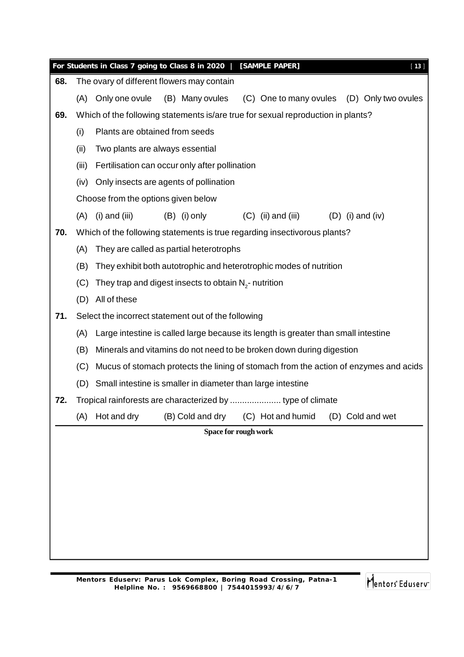|     |       | For Students in Class 7 going to Class 8 in 2020  <br>[SAMPLE PAPER]<br>[13]         |  |  |  |  |  |  |  |
|-----|-------|--------------------------------------------------------------------------------------|--|--|--|--|--|--|--|
| 68. |       | The ovary of different flowers may contain                                           |  |  |  |  |  |  |  |
|     | (A)   | (B) Many ovules<br>Only one ovule<br>(C) One to many ovules (D) Only two ovules      |  |  |  |  |  |  |  |
| 69. |       | Which of the following statements is/are true for sexual reproduction in plants?     |  |  |  |  |  |  |  |
|     | (i)   | Plants are obtained from seeds                                                       |  |  |  |  |  |  |  |
|     | (ii)  | Two plants are always essential                                                      |  |  |  |  |  |  |  |
|     | (iii) | Fertilisation can occur only after pollination                                       |  |  |  |  |  |  |  |
|     | (iv)  | Only insects are agents of pollination                                               |  |  |  |  |  |  |  |
|     |       | Choose from the options given below                                                  |  |  |  |  |  |  |  |
|     | (A)   | $(i)$ and $(iii)$<br>$(B)$ (i) only<br>$(C)$ (ii) and (iii)<br>$(D)$ (i) and (iv)    |  |  |  |  |  |  |  |
| 70. |       | Which of the following statements is true regarding insectivorous plants?            |  |  |  |  |  |  |  |
|     | (A)   | They are called as partial heterotrophs                                              |  |  |  |  |  |  |  |
|     | (B)   | They exhibit both autotrophic and heterotrophic modes of nutrition                   |  |  |  |  |  |  |  |
|     | (C)   | They trap and digest insects to obtain $N_{2}$ - nutrition                           |  |  |  |  |  |  |  |
|     | (D)   | All of these                                                                         |  |  |  |  |  |  |  |
| 71. |       | Select the incorrect statement out of the following                                  |  |  |  |  |  |  |  |
|     | (A)   | Large intestine is called large because its length is greater than small intestine   |  |  |  |  |  |  |  |
|     | (B)   | Minerals and vitamins do not need to be broken down during digestion                 |  |  |  |  |  |  |  |
|     | (C)   | Mucus of stomach protects the lining of stomach from the action of enzymes and acids |  |  |  |  |  |  |  |
|     | (D)   | Small intestine is smaller in diameter than large intestine                          |  |  |  |  |  |  |  |
| 72. |       |                                                                                      |  |  |  |  |  |  |  |
|     | (A)   | Hot and dry<br>(B) Cold and dry<br>(C) Hot and humid<br>(D) Cold and wet             |  |  |  |  |  |  |  |
|     |       | Space for rough work                                                                 |  |  |  |  |  |  |  |
|     |       |                                                                                      |  |  |  |  |  |  |  |
|     |       |                                                                                      |  |  |  |  |  |  |  |
|     |       |                                                                                      |  |  |  |  |  |  |  |
|     |       |                                                                                      |  |  |  |  |  |  |  |
|     |       |                                                                                      |  |  |  |  |  |  |  |
|     |       |                                                                                      |  |  |  |  |  |  |  |
|     |       |                                                                                      |  |  |  |  |  |  |  |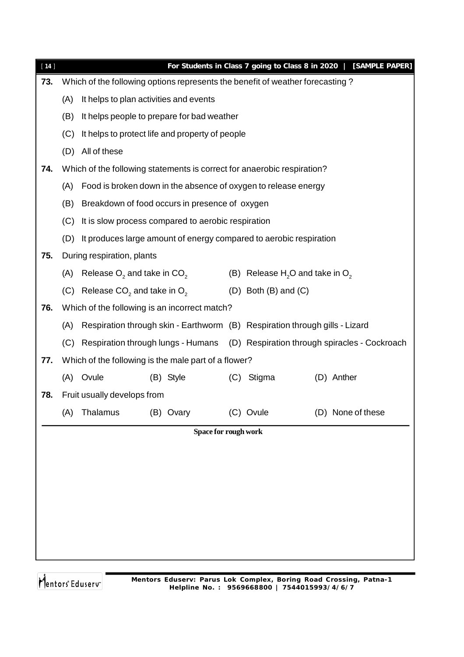|     |                                                 |                                                                                                                   | For Students in Class 7 going to Class 8 in 2020   [SAMPLE PAPER]                                                                                                                                                                                                                                                                                                                                                                                                                                                                                                                                                                                                                                                                              |  |  |  |  |
|-----|-------------------------------------------------|-------------------------------------------------------------------------------------------------------------------|------------------------------------------------------------------------------------------------------------------------------------------------------------------------------------------------------------------------------------------------------------------------------------------------------------------------------------------------------------------------------------------------------------------------------------------------------------------------------------------------------------------------------------------------------------------------------------------------------------------------------------------------------------------------------------------------------------------------------------------------|--|--|--|--|
|     |                                                 |                                                                                                                   |                                                                                                                                                                                                                                                                                                                                                                                                                                                                                                                                                                                                                                                                                                                                                |  |  |  |  |
| (A) | It helps to plan activities and events          |                                                                                                                   |                                                                                                                                                                                                                                                                                                                                                                                                                                                                                                                                                                                                                                                                                                                                                |  |  |  |  |
| (B) | It helps people to prepare for bad weather      |                                                                                                                   |                                                                                                                                                                                                                                                                                                                                                                                                                                                                                                                                                                                                                                                                                                                                                |  |  |  |  |
| (C) | It helps to protect life and property of people |                                                                                                                   |                                                                                                                                                                                                                                                                                                                                                                                                                                                                                                                                                                                                                                                                                                                                                |  |  |  |  |
| (D) | All of these                                    |                                                                                                                   |                                                                                                                                                                                                                                                                                                                                                                                                                                                                                                                                                                                                                                                                                                                                                |  |  |  |  |
|     |                                                 |                                                                                                                   |                                                                                                                                                                                                                                                                                                                                                                                                                                                                                                                                                                                                                                                                                                                                                |  |  |  |  |
| (A) |                                                 |                                                                                                                   |                                                                                                                                                                                                                                                                                                                                                                                                                                                                                                                                                                                                                                                                                                                                                |  |  |  |  |
| (B) |                                                 |                                                                                                                   |                                                                                                                                                                                                                                                                                                                                                                                                                                                                                                                                                                                                                                                                                                                                                |  |  |  |  |
| (C) |                                                 |                                                                                                                   |                                                                                                                                                                                                                                                                                                                                                                                                                                                                                                                                                                                                                                                                                                                                                |  |  |  |  |
| (D) |                                                 |                                                                                                                   |                                                                                                                                                                                                                                                                                                                                                                                                                                                                                                                                                                                                                                                                                                                                                |  |  |  |  |
|     |                                                 |                                                                                                                   |                                                                                                                                                                                                                                                                                                                                                                                                                                                                                                                                                                                                                                                                                                                                                |  |  |  |  |
| (A) | Release $O_2$ and take in $CO_2$                |                                                                                                                   |                                                                                                                                                                                                                                                                                                                                                                                                                                                                                                                                                                                                                                                                                                                                                |  |  |  |  |
| (C) | Release $CO2$ and take in $O2$                  |                                                                                                                   |                                                                                                                                                                                                                                                                                                                                                                                                                                                                                                                                                                                                                                                                                                                                                |  |  |  |  |
|     |                                                 |                                                                                                                   |                                                                                                                                                                                                                                                                                                                                                                                                                                                                                                                                                                                                                                                                                                                                                |  |  |  |  |
| (A) |                                                 |                                                                                                                   |                                                                                                                                                                                                                                                                                                                                                                                                                                                                                                                                                                                                                                                                                                                                                |  |  |  |  |
| (C) |                                                 |                                                                                                                   |                                                                                                                                                                                                                                                                                                                                                                                                                                                                                                                                                                                                                                                                                                                                                |  |  |  |  |
|     |                                                 |                                                                                                                   |                                                                                                                                                                                                                                                                                                                                                                                                                                                                                                                                                                                                                                                                                                                                                |  |  |  |  |
|     | Ovule<br>(B) Style<br>(C)                       | Stigma                                                                                                            | (D) Anther                                                                                                                                                                                                                                                                                                                                                                                                                                                                                                                                                                                                                                                                                                                                     |  |  |  |  |
|     |                                                 |                                                                                                                   |                                                                                                                                                                                                                                                                                                                                                                                                                                                                                                                                                                                                                                                                                                                                                |  |  |  |  |
| (A) | Thalamus<br>(B) Ovary                           |                                                                                                                   | (D) None of these                                                                                                                                                                                                                                                                                                                                                                                                                                                                                                                                                                                                                                                                                                                              |  |  |  |  |
|     |                                                 |                                                                                                                   |                                                                                                                                                                                                                                                                                                                                                                                                                                                                                                                                                                                                                                                                                                                                                |  |  |  |  |
|     |                                                 |                                                                                                                   |                                                                                                                                                                                                                                                                                                                                                                                                                                                                                                                                                                                                                                                                                                                                                |  |  |  |  |
|     |                                                 |                                                                                                                   |                                                                                                                                                                                                                                                                                                                                                                                                                                                                                                                                                                                                                                                                                                                                                |  |  |  |  |
|     |                                                 |                                                                                                                   |                                                                                                                                                                                                                                                                                                                                                                                                                                                                                                                                                                                                                                                                                                                                                |  |  |  |  |
|     |                                                 |                                                                                                                   |                                                                                                                                                                                                                                                                                                                                                                                                                                                                                                                                                                                                                                                                                                                                                |  |  |  |  |
|     |                                                 |                                                                                                                   |                                                                                                                                                                                                                                                                                                                                                                                                                                                                                                                                                                                                                                                                                                                                                |  |  |  |  |
|     |                                                 |                                                                                                                   |                                                                                                                                                                                                                                                                                                                                                                                                                                                                                                                                                                                                                                                                                                                                                |  |  |  |  |
|     |                                                 |                                                                                                                   |                                                                                                                                                                                                                                                                                                                                                                                                                                                                                                                                                                                                                                                                                                                                                |  |  |  |  |
|     |                                                 | During respiration, plants<br>Which of the following is an incorrect match?<br>(A)<br>Fruit usually develops from | Which of the following options represents the benefit of weather forecasting?<br>Which of the following statements is correct for anaerobic respiration?<br>Food is broken down in the absence of oxygen to release energy<br>Breakdown of food occurs in presence of oxygen<br>It is slow process compared to aerobic respiration<br>It produces large amount of energy compared to aerobic respiration<br>(B) Release $H_2O$ and take in $O_2$<br>$(D)$ Both $(B)$ and $(C)$<br>Respiration through skin - Earthworm (B) Respiration through gills - Lizard<br>Respiration through lungs - Humans (D) Respiration through spiracles - Cockroach<br>Which of the following is the male part of a flower?<br>(C) Ovule<br>Space for rough work |  |  |  |  |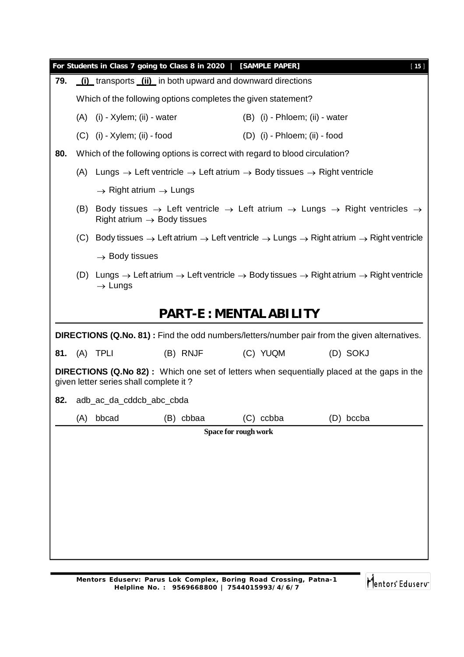| For Students in Class 7 going to Class 8 in 2020   [SAMPLE PAPER]<br>$[15]$ |                                                                                                                                              |                                                               |           |                                                                                                                       |                                                                                                                                                      |  |  |  |
|-----------------------------------------------------------------------------|----------------------------------------------------------------------------------------------------------------------------------------------|---------------------------------------------------------------|-----------|-----------------------------------------------------------------------------------------------------------------------|------------------------------------------------------------------------------------------------------------------------------------------------------|--|--|--|
| 79.                                                                         | (i) transports (ii) in both upward and downward directions                                                                                   |                                                               |           |                                                                                                                       |                                                                                                                                                      |  |  |  |
|                                                                             |                                                                                                                                              | Which of the following options completes the given statement? |           |                                                                                                                       |                                                                                                                                                      |  |  |  |
|                                                                             |                                                                                                                                              | $(A)$ (i) - Xylem; (ii) - water                               |           | (B) (i) - Phloem; (ii) - water                                                                                        |                                                                                                                                                      |  |  |  |
|                                                                             |                                                                                                                                              | $(C)$ (i) - Xylem; (ii) - food                                |           | $(D)$ (i) - Phloem; (ii) - food                                                                                       |                                                                                                                                                      |  |  |  |
| 80.                                                                         |                                                                                                                                              |                                                               |           | Which of the following options is correct with regard to blood circulation?                                           |                                                                                                                                                      |  |  |  |
|                                                                             | (A)                                                                                                                                          |                                                               |           | Lungs $\rightarrow$ Left ventricle $\rightarrow$ Left atrium $\rightarrow$ Body tissues $\rightarrow$ Right ventricle |                                                                                                                                                      |  |  |  |
|                                                                             |                                                                                                                                              | $\rightarrow$ Right atrium $\rightarrow$ Lungs                |           |                                                                                                                       |                                                                                                                                                      |  |  |  |
|                                                                             | (B)                                                                                                                                          | Right atrium $\rightarrow$ Body tissues                       |           |                                                                                                                       | Body tissues $\rightarrow$ Left ventricle $\rightarrow$ Left atrium $\rightarrow$ Lungs $\rightarrow$ Right ventricles $\rightarrow$                 |  |  |  |
|                                                                             | (C)                                                                                                                                          |                                                               |           |                                                                                                                       | Body tissues $\rightarrow$ Left atrium $\rightarrow$ Left ventricle $\rightarrow$ Lungs $\rightarrow$ Right atrium $\rightarrow$ Right ventricle     |  |  |  |
|                                                                             |                                                                                                                                              | $\rightarrow$ Body tissues                                    |           |                                                                                                                       |                                                                                                                                                      |  |  |  |
|                                                                             |                                                                                                                                              | $\rightarrow$ Lungs                                           |           |                                                                                                                       | (D) Lungs $\rightarrow$ Left atrium $\rightarrow$ Left ventricle $\rightarrow$ Body tissues $\rightarrow$ Right atrium $\rightarrow$ Right ventricle |  |  |  |
|                                                                             |                                                                                                                                              |                                                               |           | <b>PART-E: MENTAL ABILITY</b>                                                                                         |                                                                                                                                                      |  |  |  |
|                                                                             |                                                                                                                                              |                                                               |           |                                                                                                                       | <b>DIRECTIONS (Q.No. 81)</b> : Find the odd numbers/letters/number pair from the given alternatives.                                                 |  |  |  |
| 81.                                                                         |                                                                                                                                              | (A) TPLI                                                      | (B) RNJF  | (C) YUQM                                                                                                              | (D) SOKJ                                                                                                                                             |  |  |  |
|                                                                             | <b>DIRECTIONS (Q.No 82)</b> : Which one set of letters when sequentially placed at the gaps in the<br>given letter series shall complete it? |                                                               |           |                                                                                                                       |                                                                                                                                                      |  |  |  |
| 82.                                                                         |                                                                                                                                              | adb_ac_da_cddcb_abc_cbda                                      |           |                                                                                                                       |                                                                                                                                                      |  |  |  |
|                                                                             | (A)                                                                                                                                          | bbcad                                                         | (B) cbbaa | (C) ccbba                                                                                                             | (D) bccba                                                                                                                                            |  |  |  |
| Space for rough work                                                        |                                                                                                                                              |                                                               |           |                                                                                                                       |                                                                                                                                                      |  |  |  |
|                                                                             |                                                                                                                                              |                                                               |           |                                                                                                                       |                                                                                                                                                      |  |  |  |
|                                                                             |                                                                                                                                              |                                                               |           |                                                                                                                       |                                                                                                                                                      |  |  |  |
|                                                                             |                                                                                                                                              |                                                               |           |                                                                                                                       |                                                                                                                                                      |  |  |  |
|                                                                             |                                                                                                                                              |                                                               |           |                                                                                                                       |                                                                                                                                                      |  |  |  |
|                                                                             |                                                                                                                                              |                                                               |           |                                                                                                                       |                                                                                                                                                      |  |  |  |
|                                                                             |                                                                                                                                              |                                                               |           |                                                                                                                       |                                                                                                                                                      |  |  |  |
|                                                                             |                                                                                                                                              |                                                               |           |                                                                                                                       |                                                                                                                                                      |  |  |  |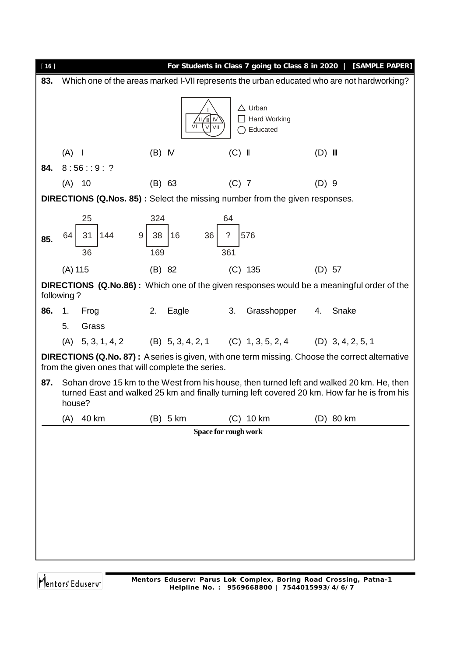| [16] |                                                                                            |                                              |                                                                         | For Students in Class 7 going to Class 8 in 2020   [SAMPLE PAPER]                                                                                                                        |  |  |  |  |
|------|--------------------------------------------------------------------------------------------|----------------------------------------------|-------------------------------------------------------------------------|------------------------------------------------------------------------------------------------------------------------------------------------------------------------------------------|--|--|--|--|
| 83.  | Which one of the areas marked I-VII represents the urban educated who are not hardworking? |                                              |                                                                         |                                                                                                                                                                                          |  |  |  |  |
|      |                                                                                            | $\parallel\parallel$<br>1V<br>VI<br>V<br>VII | $\triangle$ Urban<br>$\Box$ Hard Working<br>Educated<br>()              |                                                                                                                                                                                          |  |  |  |  |
|      | $(A)$                                                                                      | $(B)$ M                                      | $(C)$                                                                   | $(D)$ III                                                                                                                                                                                |  |  |  |  |
| 84.  | 8:56::9:?                                                                                  |                                              |                                                                         |                                                                                                                                                                                          |  |  |  |  |
|      | 10<br>(A)                                                                                  | $(B)$ 63                                     | $(C)$ 7                                                                 | $(D)$ 9                                                                                                                                                                                  |  |  |  |  |
|      | <b>DIRECTIONS (Q.Nos. 85):</b> Select the missing number from the given responses.         |                                              |                                                                         |                                                                                                                                                                                          |  |  |  |  |
| 85.  | 25<br>31<br>9 <sup>1</sup><br>64<br>144<br>36                                              | 324<br>38<br>16<br>36<br>169                 | 64<br>576<br>$\overline{?}$<br>361                                      |                                                                                                                                                                                          |  |  |  |  |
|      | $(A)$ 115                                                                                  | (B) 82                                       | $(C)$ 135                                                               | $(D)$ 57                                                                                                                                                                                 |  |  |  |  |
|      | following?                                                                                 |                                              |                                                                         | <b>DIRECTIONS (Q.No.86):</b> Which one of the given responses would be a meaningful order of the                                                                                         |  |  |  |  |
| 86.  | 1.<br>Frog                                                                                 | 2.<br>Eagle                                  | 3.<br>Grasshopper                                                       | Snake<br>4.                                                                                                                                                                              |  |  |  |  |
|      | 5.<br>Grass                                                                                |                                              |                                                                         |                                                                                                                                                                                          |  |  |  |  |
|      |                                                                                            |                                              | (A) 5, 3, 1, 4, 2 (B) 5, 3, 4, 2, 1 (C) 1, 3, 5, 2, 4 (D) 3, 4, 2, 5, 1 |                                                                                                                                                                                          |  |  |  |  |
|      | from the given ones that will complete the series.                                         |                                              |                                                                         | <b>DIRECTIONS (Q.No. 87):</b> A series is given, with one term missing. Choose the correct alternative                                                                                   |  |  |  |  |
| 87.  | house?                                                                                     |                                              |                                                                         | Sohan drove 15 km to the West from his house, then turned left and walked 20 km. He, then<br>turned East and walked 25 km and finally turning left covered 20 km. How far he is from his |  |  |  |  |
|      | 40 km<br>(A)                                                                               | $(B)$ 5 km                                   | $(C)$ 10 km                                                             | (D) 80 km                                                                                                                                                                                |  |  |  |  |
|      | Space for rough work                                                                       |                                              |                                                                         |                                                                                                                                                                                          |  |  |  |  |
|      |                                                                                            |                                              |                                                                         |                                                                                                                                                                                          |  |  |  |  |
|      |                                                                                            |                                              |                                                                         |                                                                                                                                                                                          |  |  |  |  |
|      |                                                                                            |                                              |                                                                         |                                                                                                                                                                                          |  |  |  |  |
|      |                                                                                            |                                              |                                                                         |                                                                                                                                                                                          |  |  |  |  |
|      |                                                                                            |                                              |                                                                         |                                                                                                                                                                                          |  |  |  |  |
|      |                                                                                            |                                              |                                                                         |                                                                                                                                                                                          |  |  |  |  |
|      |                                                                                            |                                              |                                                                         |                                                                                                                                                                                          |  |  |  |  |
|      |                                                                                            |                                              |                                                                         |                                                                                                                                                                                          |  |  |  |  |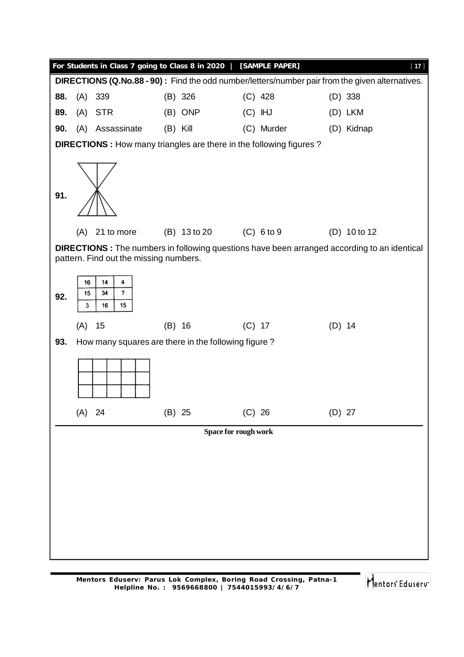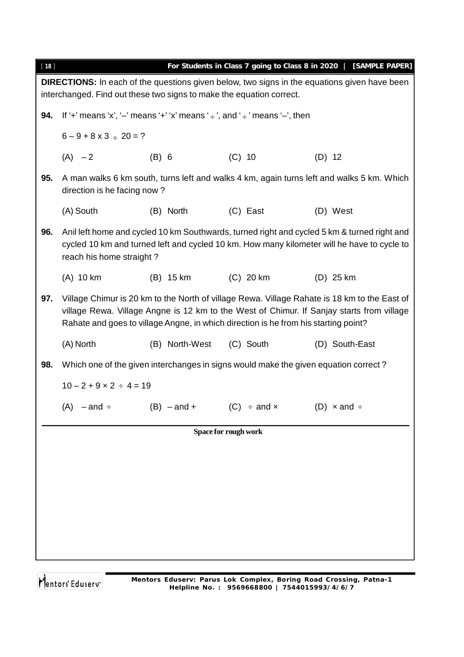| For Students in Class 7 going to Class 8 in 2020   [SAMPLE PAPER]<br>$[18]$                                                                                                 |                                                                                                                                                                                                                                                                                  |                                                                                      |                                                                                     |                |  |  |  |  |
|-----------------------------------------------------------------------------------------------------------------------------------------------------------------------------|----------------------------------------------------------------------------------------------------------------------------------------------------------------------------------------------------------------------------------------------------------------------------------|--------------------------------------------------------------------------------------|-------------------------------------------------------------------------------------|----------------|--|--|--|--|
| <b>DIRECTIONS:</b> In each of the questions given below, two signs in the equations given have been<br>interchanged. Find out these two signs to make the equation correct. |                                                                                                                                                                                                                                                                                  |                                                                                      |                                                                                     |                |  |  |  |  |
| 94.                                                                                                                                                                         |                                                                                                                                                                                                                                                                                  | If '+' means 'x', '-' means '+' 'x' means ' $\div$ ', and ' $\div$ ' means '-', then |                                                                                     |                |  |  |  |  |
|                                                                                                                                                                             | $6 - 9 + 8 \times 3 \div 20 = ?$                                                                                                                                                                                                                                                 |                                                                                      |                                                                                     |                |  |  |  |  |
|                                                                                                                                                                             | $(A) -2$                                                                                                                                                                                                                                                                         | (B) 6                                                                                | $(C)$ 10                                                                            | $(D)$ 12       |  |  |  |  |
| 95.                                                                                                                                                                         | A man walks 6 km south, turns left and walks 4 km, again turns left and walks 5 km. Which<br>direction is he facing now?                                                                                                                                                         |                                                                                      |                                                                                     |                |  |  |  |  |
|                                                                                                                                                                             | (A) South                                                                                                                                                                                                                                                                        | (B) North                                                                            | (C) East                                                                            | (D) West       |  |  |  |  |
| 96.                                                                                                                                                                         | Anil left home and cycled 10 km Southwards, turned right and cycled 5 km & turned right and<br>cycled 10 km and turned left and cycled 10 km. How many kilometer will he have to cycle to<br>reach his home straight?                                                            |                                                                                      |                                                                                     |                |  |  |  |  |
|                                                                                                                                                                             | (A) 10 km                                                                                                                                                                                                                                                                        | (B) 15 km                                                                            | $(C)$ 20 km                                                                         | $(D)$ 25 km    |  |  |  |  |
| 97.                                                                                                                                                                         | Village Chimur is 20 km to the North of village Rewa. Village Rahate is 18 km to the East of<br>village Rewa. Village Angne is 12 km to the West of Chimur. If Sanjay starts from village<br>Rahate and goes to village Angne, in which direction is he from his starting point? |                                                                                      |                                                                                     |                |  |  |  |  |
|                                                                                                                                                                             | (A) North                                                                                                                                                                                                                                                                        | (B) North-West                                                                       | (C) South                                                                           | (D) South-East |  |  |  |  |
| 98.                                                                                                                                                                         |                                                                                                                                                                                                                                                                                  |                                                                                      | Which one of the given interchanges in signs would make the given equation correct? |                |  |  |  |  |
|                                                                                                                                                                             | $10 - 2 + 9 \times 2 \div 4 = 19$                                                                                                                                                                                                                                                |                                                                                      |                                                                                     |                |  |  |  |  |
|                                                                                                                                                                             |                                                                                                                                                                                                                                                                                  |                                                                                      | (A) $-$ and $\div$ (B) $-$ and $+$ (C) $\div$ and $\times$ (D) $\times$ and $\div$  |                |  |  |  |  |
|                                                                                                                                                                             |                                                                                                                                                                                                                                                                                  |                                                                                      | <b>Space for rough work</b>                                                         |                |  |  |  |  |
|                                                                                                                                                                             |                                                                                                                                                                                                                                                                                  |                                                                                      |                                                                                     |                |  |  |  |  |
|                                                                                                                                                                             |                                                                                                                                                                                                                                                                                  |                                                                                      |                                                                                     |                |  |  |  |  |
|                                                                                                                                                                             |                                                                                                                                                                                                                                                                                  |                                                                                      |                                                                                     |                |  |  |  |  |
|                                                                                                                                                                             |                                                                                                                                                                                                                                                                                  |                                                                                      |                                                                                     |                |  |  |  |  |
|                                                                                                                                                                             |                                                                                                                                                                                                                                                                                  |                                                                                      |                                                                                     |                |  |  |  |  |
|                                                                                                                                                                             |                                                                                                                                                                                                                                                                                  |                                                                                      |                                                                                     |                |  |  |  |  |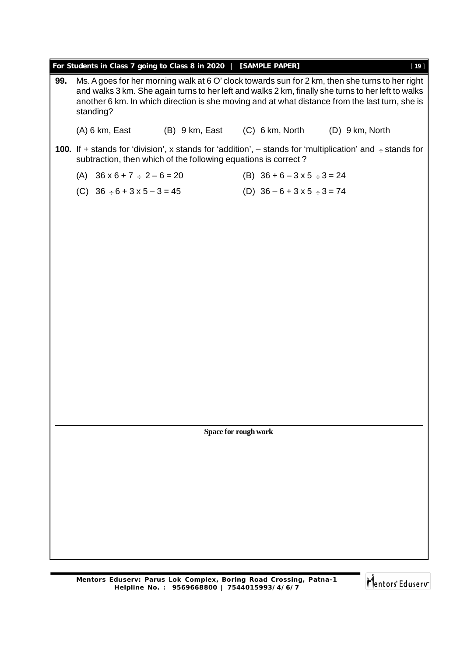| For Students in Class 7 going to Class 8 in 2020   [SAMPLE PAPER]<br>$[19]$    |                                                                                                                                                                                                                                                                                                                      |  |                                |                 |  |  |  |
|--------------------------------------------------------------------------------|----------------------------------------------------------------------------------------------------------------------------------------------------------------------------------------------------------------------------------------------------------------------------------------------------------------------|--|--------------------------------|-----------------|--|--|--|
| 99.                                                                            | Ms. A goes for her morning walk at 6 O' clock towards sun for 2 km, then she turns to her right<br>and walks 3 km. She again turns to her left and walks 2 km, finally she turns to her left to walks<br>another 6 km. In which direction is she moving and at what distance from the last turn, she is<br>standing? |  |                                |                 |  |  |  |
|                                                                                | (A) 6 km, East                                                                                                                                                                                                                                                                                                       |  | (B) 9 km, East (C) 6 km, North | (D) 9 km, North |  |  |  |
|                                                                                | <b>100.</b> If + stands for 'division', x stands for 'addition', $-$ stands for 'multiplication' and $\div$ stands for<br>subtraction, then which of the following equations is correct?                                                                                                                             |  |                                |                 |  |  |  |
| (B) $36 + 6 - 3 \times 5 \div 3 = 24$<br>(A) $36 \times 6 + 7 \div 2 - 6 = 20$ |                                                                                                                                                                                                                                                                                                                      |  |                                |                 |  |  |  |
| (C) $36 \div 6 + 3 \times 5 - 3 = 45$<br>(D) $36 - 6 + 3 \times 5 \div 3 = 74$ |                                                                                                                                                                                                                                                                                                                      |  |                                |                 |  |  |  |
|                                                                                |                                                                                                                                                                                                                                                                                                                      |  |                                |                 |  |  |  |
|                                                                                |                                                                                                                                                                                                                                                                                                                      |  |                                |                 |  |  |  |
|                                                                                |                                                                                                                                                                                                                                                                                                                      |  |                                |                 |  |  |  |
|                                                                                |                                                                                                                                                                                                                                                                                                                      |  |                                |                 |  |  |  |
|                                                                                |                                                                                                                                                                                                                                                                                                                      |  |                                |                 |  |  |  |
|                                                                                |                                                                                                                                                                                                                                                                                                                      |  |                                |                 |  |  |  |
|                                                                                |                                                                                                                                                                                                                                                                                                                      |  |                                |                 |  |  |  |
|                                                                                |                                                                                                                                                                                                                                                                                                                      |  |                                |                 |  |  |  |
|                                                                                |                                                                                                                                                                                                                                                                                                                      |  |                                |                 |  |  |  |
|                                                                                |                                                                                                                                                                                                                                                                                                                      |  |                                |                 |  |  |  |
|                                                                                |                                                                                                                                                                                                                                                                                                                      |  |                                |                 |  |  |  |
|                                                                                |                                                                                                                                                                                                                                                                                                                      |  |                                |                 |  |  |  |
|                                                                                |                                                                                                                                                                                                                                                                                                                      |  |                                |                 |  |  |  |
|                                                                                |                                                                                                                                                                                                                                                                                                                      |  | <b>Space for rough work</b>    |                 |  |  |  |
|                                                                                |                                                                                                                                                                                                                                                                                                                      |  |                                |                 |  |  |  |
|                                                                                |                                                                                                                                                                                                                                                                                                                      |  |                                |                 |  |  |  |
|                                                                                |                                                                                                                                                                                                                                                                                                                      |  |                                |                 |  |  |  |
|                                                                                |                                                                                                                                                                                                                                                                                                                      |  |                                |                 |  |  |  |
|                                                                                |                                                                                                                                                                                                                                                                                                                      |  |                                |                 |  |  |  |
|                                                                                |                                                                                                                                                                                                                                                                                                                      |  |                                |                 |  |  |  |
|                                                                                |                                                                                                                                                                                                                                                                                                                      |  |                                |                 |  |  |  |
|                                                                                |                                                                                                                                                                                                                                                                                                                      |  |                                |                 |  |  |  |